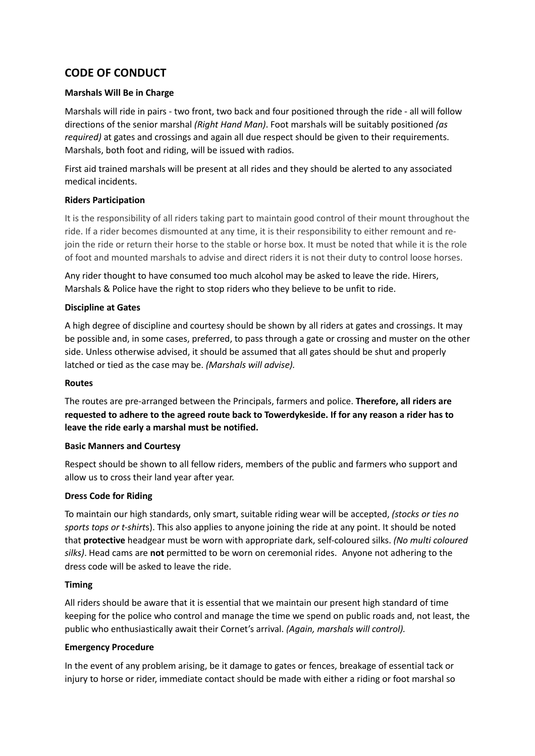# **CODE OF CONDUCT**

# **Marshals Will Be in Charge**

Marshals will ride in pairs - two front, two back and four positioned through the ride - all will follow directions of the senior marshal *(Right Hand Man)*. Foot marshals will be suitably positioned *(as required)* at gates and crossings and again all due respect should be given to their requirements. Marshals, both foot and riding, will be issued with radios.

First aid trained marshals will be present at all rides and they should be alerted to any associated medical incidents.

# **Riders Participation**

It is the responsibility of all riders taking part to maintain good control of their mount throughout the ride. If a rider becomes dismounted at any time, it is their responsibility to either remount and rejoin the ride or return their horse to the stable or horse box. It must be noted that while it is the role of foot and mounted marshals to advise and direct riders it is not their duty to control loose horses.

Any rider thought to have consumed too much alcohol may be asked to leave the ride. Hirers, Marshals & Police have the right to stop riders who they believe to be unfit to ride.

# **Discipline at Gates**

A high degree of discipline and courtesy should be shown by all riders at gates and crossings. It may be possible and, in some cases, preferred, to pass through a gate or crossing and muster on the other side. Unless otherwise advised, it should be assumed that all gates should be shut and properly latched or tied as the case may be. *(Marshals will advise).*

## **Routes**

The routes are pre-arranged between the Principals, farmers and police. **Therefore, all riders are requested to adhere to the agreed route back to Towerdykeside. If for any reason a rider has to leave the ride early a marshal must be notified.**

## **Basic Manners and Courtesy**

Respect should be shown to all fellow riders, members of the public and farmers who support and allow us to cross their land year after year.

## **Dress Code for Riding**

To maintain our high standards, only smart, suitable riding wear will be accepted, *(stocks or ties no sports tops or t-shirt*s). This also applies to anyone joining the ride at any point. It should be noted that **protective** headgear must be worn with appropriate dark, self-coloured silks. *(No multi coloured silks)*. Head cams are **not** permitted to be worn on ceremonial rides. Anyone not adhering to the dress code will be asked to leave the ride.

## **Timing**

All riders should be aware that it is essential that we maintain our present high standard of time keeping for the police who control and manage the time we spend on public roads and, not least, the public who enthusiastically await their Cornet's arrival. *(Again, marshals will control).*

## **Emergency Procedure**

In the event of any problem arising, be it damage to gates or fences, breakage of essential tack or injury to horse or rider, immediate contact should be made with either a riding or foot marshal so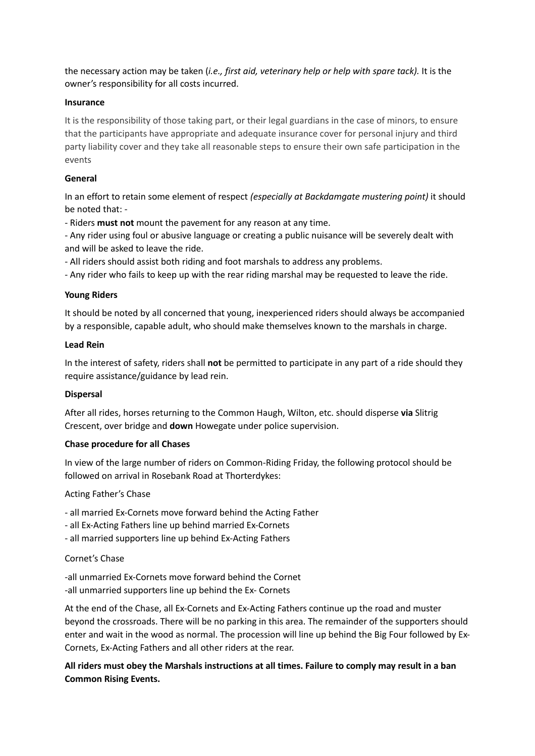the necessary action may be taken (*i.e., first aid, veterinary help or help with spare tack).* It is the owner's responsibility for all costs incurred.

## **Insurance**

It is the responsibility of those taking part, or their legal guardians in the case of minors, to ensure that the participants have appropriate and adequate insurance cover for personal injury and third party liability cover and they take all reasonable steps to ensure their own safe participation in the events

## **General**

In an effort to retain some element of respect *(especially at Backdamgate mustering point)* it should be noted that: -

- Riders **must not** mount the pavement for any reason at any time.

- Any rider using foul or abusive language or creating a public nuisance will be severely dealt with and will be asked to leave the ride.

- All riders should assist both riding and foot marshals to address any problems.

- Any rider who fails to keep up with the rear riding marshal may be requested to leave the ride.

#### **Young Riders**

It should be noted by all concerned that young, inexperienced riders should always be accompanied by a responsible, capable adult, who should make themselves known to the marshals in charge.

#### **Lead Rein**

In the interest of safety, riders shall **not** be permitted to participate in any part of a ride should they require assistance/guidance by lead rein.

#### **Dispersal**

After all rides, horses returning to the Common Haugh, Wilton, etc. should disperse **via** Slitrig Crescent, over bridge and **down** Howegate under police supervision.

#### **Chase procedure for all Chases**

In view of the large number of riders on Common-Riding Friday, the following protocol should be followed on arrival in Rosebank Road at Thorterdykes:

## Acting Father's Chase

- all married Ex-Cornets move forward behind the Acting Father
- all Ex-Acting Fathers line up behind married Ex-Cornets
- all married supporters line up behind Ex-Acting Fathers

## Cornet's Chase

-all unmarried Ex-Cornets move forward behind the Cornet -all unmarried supporters line up behind the Ex- Cornets

At the end of the Chase, all Ex-Cornets and Ex-Acting Fathers continue up the road and muster beyond the crossroads. There will be no parking in this area. The remainder of the supporters should enter and wait in the wood as normal. The procession will line up behind the Big Four followed by Ex-Cornets, Ex-Acting Fathers and all other riders at the rear.

# **All riders must obey the Marshals instructions at all times. Failure to comply may result in a ban Common Rising Events.**